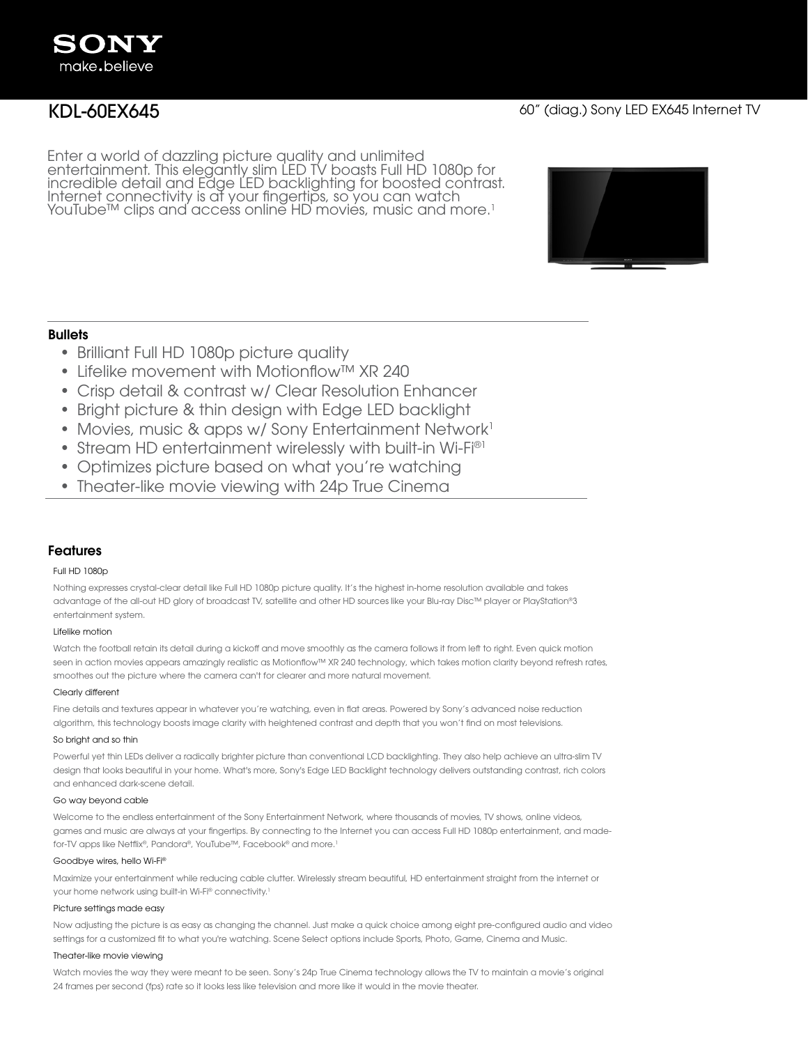Enter a world of dazzling picture quality and unlimited entertainment. This elegantly slim LED TV boasts Full HD 1080p for incredible detail and Edge LED backlighting for boosted contrast. Internet connectivity is at your fingertips, so you can watch YouTube™ clips and access online HD movies, music and more.<sup>1</sup>



# **Bullets**

- Brilliant Full HD 1080p picture quality
- Lifelike movement with Motionflow™ XR 240
- Crisp detail & contrast w/ Clear Resolution Enhancer
- Bright picture & thin design with Edge LED backlight
- Movies, music & apps w/ Sony Entertainment Network<sup>1</sup>
- Stream HD entertainment wirelessly with built-in Wi-Fi®1
- Optimizes picture based on what you're watching
- Theater-like movie viewing with 24p True Cinema

# Features

### Full HD 1080p

Nothing expresses crystal-clear detail like Full HD 1080p picture quality. It's the highest in-home resolution available and takes advantage of the all-out HD glory of broadcast TV, satellite and other HD sources like your Blu-ray Disc™ player or PlayStation®3 entertainment system.

#### Lifelike motion

Watch the football retain its detail during a kickoff and move smoothly as the camera follows it from left to right. Even quick motion seen in action movies appears amazingly realistic as Motionflow™ XR 240 technology, which takes motion clarity beyond refresh rates, smoothes out the picture where the camera can't for clearer and more natural movement.

#### Clearly different

Fine details and textures appear in whatever you're watching, even in flat areas. Powered by Sony's advanced noise reduction algorithm, this technology boosts image clarity with heightened contrast and depth that you won't find on most televisions.

#### So bright and so thin

Powerful yet thin LEDs deliver a radically brighter picture than conventional LCD backlighting. They also help achieve an ultra-slim TV design that looks beautiful in your home. What's more, Sony's Edge LED Backlight technology delivers outstanding contrast, rich colors and enhanced dark-scene detail.

#### Go way beyond cable

Welcome to the endless entertainment of the Sony Entertainment Network, where thousands of movies, TV shows, online videos, games and music are always at your fingertips. By connecting to the Internet you can access Full HD 1080p entertainment, and madefor-TV apps like Netflix®, Pandora®, YouTube™, Facebook® and more.<sup>1</sup>

#### Goodbye wires, hello Wi-Fi®

Maximize your entertainment while reducing cable clutter. Wirelessly stream beautiful, HD entertainment straight from the internet or your home network using built-in Wi-Fi® connectivity.1

#### Picture settings made easy

Now adjusting the picture is as easy as changing the channel. Just make a quick choice among eight pre-configured audio and video settings for a customized fit to what you're watching. Scene Select options include Sports, Photo, Game, Cinema and Music.

#### Theater-like movie viewing

Watch movies the way they were meant to be seen. Sony's 24p True Cinema technology allows the TV to maintain a movie's original 24 frames per second (fps) rate so it looks less like television and more like it would in the movie theater.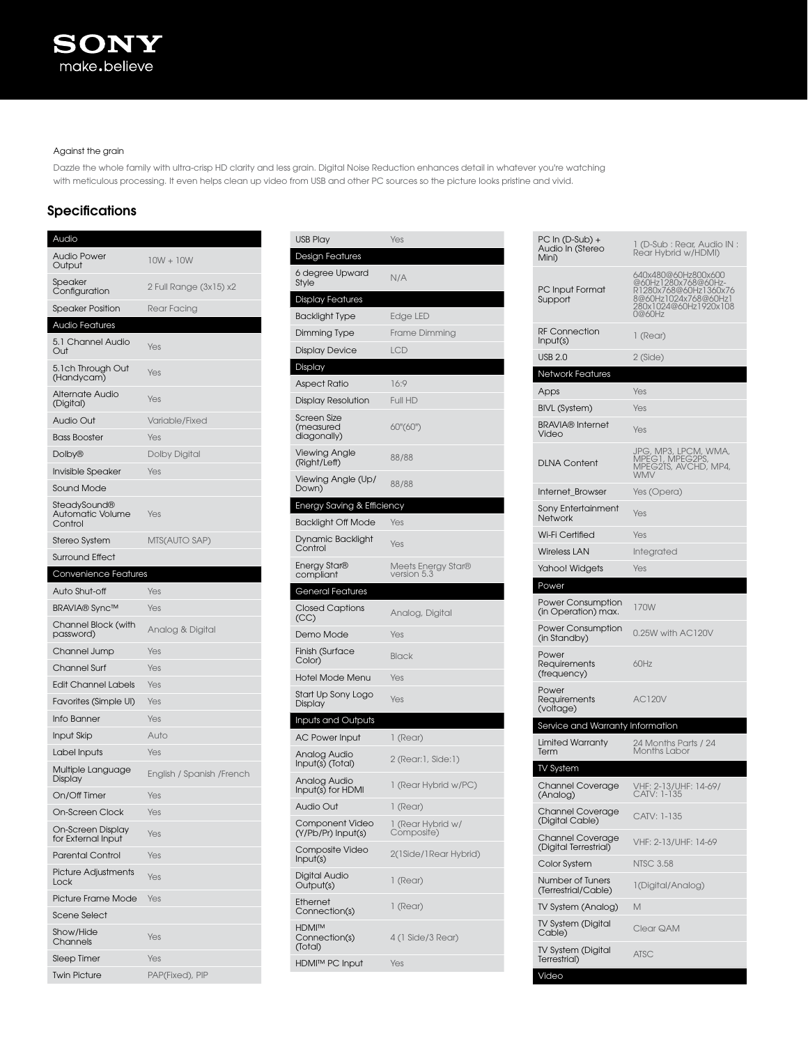## Against the grain

Dazzle the whole family with ultra-crisp HD clarity and less grain. Digital Noise Reduction enhances detail in whatever you're watching with meticulous processing. It even helps clean up video from USB and other PC sources so the picture looks pristine and vivid.

# **Specifications**

| Audio                                              |                           |
|----------------------------------------------------|---------------------------|
| <b>Audio Power</b><br>Output                       | $10W + 10W$               |
| Speaker<br>Configuration                           | 2 Full Range (3x15) x2    |
| <b>Speaker Position</b>                            | Rear Facing               |
| <b>Audio Features</b>                              |                           |
| 5.1 Channel Audio<br>Out                           | Yes                       |
| 5.1ch Through Out<br>(Handycam)                    | Yes                       |
| <b>Alternate Audio</b><br>(Digital)                | Yes                       |
| Audio Out                                          | Variable/Fixed            |
| <b>Bass Booster</b>                                | Yes                       |
| Dolby <sup>®</sup>                                 | <b>Dolby Digital</b>      |
| Invisible Speaker                                  | Yes                       |
| <b>Sound Mode</b>                                  |                           |
| SteadySound®<br><b>Automatic Volume</b><br>Control | Yes                       |
| Stereo System                                      | MTS(AUTO SAP)             |
| <b>Surround Effect</b>                             |                           |
| Convenience Features                               |                           |
| Auto Shut-off                                      | Yes                       |
| <b>BRAVIA®</b> Sync™                               | Yes                       |
| Channel Block (with<br>password)                   | Analog & Digital          |
| Channel Jump                                       | Yes                       |
| <b>Channel Surf</b>                                | Yes                       |
| <b>Edit Channel Labels</b>                         | Yes                       |
| Favorites (Simple UI)                              | Yes                       |
| Info Banner                                        | Yes                       |
| Input Skip                                         | Auto                      |
| Label Inputs                                       | Yes                       |
| Multiple Language<br>Display                       | English / Spanish /French |
| On/Off Timer                                       | Yes                       |
| <b>On-Screen Clock</b>                             | Yes                       |
| On-Screen Display<br>for External Input            | Yes                       |
| <b>Parental Control</b>                            | Yes                       |
| <b>Picture Adjustments</b><br>Lock                 | Yes                       |
| Picture Frame Mode                                 | Yes                       |
| <b>Scene Select</b>                                |                           |
| Show/Hide<br>Channels                              | Yes                       |
| <b>Sleep Timer</b>                                 | Yes                       |
| <b>Twin Picture</b>                                | PAP(Fixed), PIP           |

| <b>USB Play</b>                                | Yes                               |
|------------------------------------------------|-----------------------------------|
| <b>Design Features</b>                         |                                   |
| 6 degree Upward<br>Style                       | N/A                               |
| <b>Display Features</b>                        |                                   |
| <b>Backlight Type</b>                          | Edge LED                          |
| Dimming Type                                   | Frame Dimming                     |
| <b>Display Device</b>                          | <b>LCD</b>                        |
| Display                                        |                                   |
| <b>Aspect Ratio</b>                            | 16:9                              |
| Display Resolution                             | Full HD                           |
| <b>Screen Size</b><br>(measured<br>diagonally) | 60"(60")                          |
| Viewing Angle<br>(Right/Left)                  | 88/88                             |
| Viewing Angle (Up/<br>Down)                    | 88/88                             |
| Energy Saving & Efficiency                     |                                   |
| <b>Backlight Off Mode</b>                      | Yes                               |
| Dynamic Backlight<br>Control                   | Yes                               |
| Energy Star®<br>compliant                      | Meets Energy Star®<br>version 5.3 |
| <b>General Features</b>                        |                                   |
| <b>Closed Captions</b><br>(CC)                 | Analog, Digital                   |
| Demo Mode                                      | Yes                               |
| Finish (Surface<br>Color)                      | <b>Black</b>                      |
| <b>Hotel Mode Menu</b>                         | Yes                               |
| Start Up Sony Logo<br>Display                  | Yes                               |
| Inputs and Outputs                             |                                   |
| AC Power Input                                 | 1 (Rear)                          |
| Analog Audio<br>Input(s) (Total)               | 2 (Rear: 1, Side: 1)              |
| Analog Audio<br>Input(s) for HDMI              | 1 (Rear Hybrid w/PC)              |
| Audio Out                                      | 1 (Rear)                          |
| Component Video<br>(Y/Pb/Pr) Input(s)          | 1 (Rear Hybrid w/<br>Composite)   |
| Composite Video<br>Input(s)                    | 2(1Side/1Rear Hybrid)             |
| Digital Audio<br>Output(s)                     | 1 (Rear)                          |
| Ethernet<br>Connection(s)                      | 1 (Rear)                          |
| <b>HDMI™</b><br>Connection(s)<br>(Total)       | 4 (1 Side/3 Rear)                 |
| <b>HDMI™ PC Input</b>                          | Yes                               |
|                                                |                                   |

| PC In (D-Sub) +<br>Audio In (Stereo<br>Mini)    | 1 (D-Sub : Rear, Audio IN :<br>Rear Hybrid w/HDMI)                                                                             |
|-------------------------------------------------|--------------------------------------------------------------------------------------------------------------------------------|
| PC Input Format<br>Support                      | 640x480@60Hz800x600<br>@60Hz1280x768@60Hz-<br>R1280x768@60Hz1360x76<br>8@60Hz1024x768@60Hz1<br>280x1024@60Hz1920x108<br>0@60Hz |
| <b>RF Connection</b><br>Input(s)                | 1 (Rear)                                                                                                                       |
| <b>USB 2.0</b>                                  | 2 (Side)                                                                                                                       |
| Network Features                                |                                                                                                                                |
| Apps                                            | Yes                                                                                                                            |
| BIVL (System)                                   | Yes                                                                                                                            |
| BRAVIA® Internet<br>Video                       | Yes                                                                                                                            |
| <b>DLNA Content</b>                             | JPG, MP3, LPCM, WMA,<br>MPEG1, MPEG2PS,<br>MPEG2TS, AVCHD, MP4,<br>WMV                                                         |
| Internet_Browser                                | Yes (Opera)                                                                                                                    |
| Sony Entertainment<br>Network                   | Yes                                                                                                                            |
| Wi-Fi Certified                                 | Yes                                                                                                                            |
| <b>Wireless LAN</b>                             | Integrated                                                                                                                     |
| Yahoo! Widgets                                  | Yes                                                                                                                            |
| Power                                           |                                                                                                                                |
| <b>Power Consumption</b><br>(in Operation) max. | 170W                                                                                                                           |
| <b>Power Consumption</b><br>(in Standby)        | 0.25W with AC120V                                                                                                              |
| Power<br>Requirements<br>(frequency)            | 60Hz                                                                                                                           |
| Power<br>Requirements<br>(voltage)              | <b>AC120V</b>                                                                                                                  |
| Service and Warranty Information                |                                                                                                                                |
| Limited Warranty<br>Term                        | 24 Months Parts / 24<br>Months Labor                                                                                           |
| TV System                                       |                                                                                                                                |
| <b>Channel Coverage</b><br>(Analog)             | VHF: 2-13/UHF: 14-69/<br>CATV: 1-135                                                                                           |
| <b>Channel Coverage</b><br>(Digital Cable)      | CATV: 1-135                                                                                                                    |
| Channel Coverage<br>(Digital Terrestrial)       | /HF: 2-13/UHF: 14-69                                                                                                           |
| Color System                                    | <b>NTSC 3.58</b>                                                                                                               |
| Number of Tuners<br>(Terrestrial/Cable)         | 1(Digital/Analog)                                                                                                              |
| TV System (Analog)                              | М                                                                                                                              |
| TV System (Digital<br>Cable)                    | Clear QAM                                                                                                                      |
| TV System (Digital<br>Terrestrial)              | ATSC                                                                                                                           |
| Video                                           |                                                                                                                                |